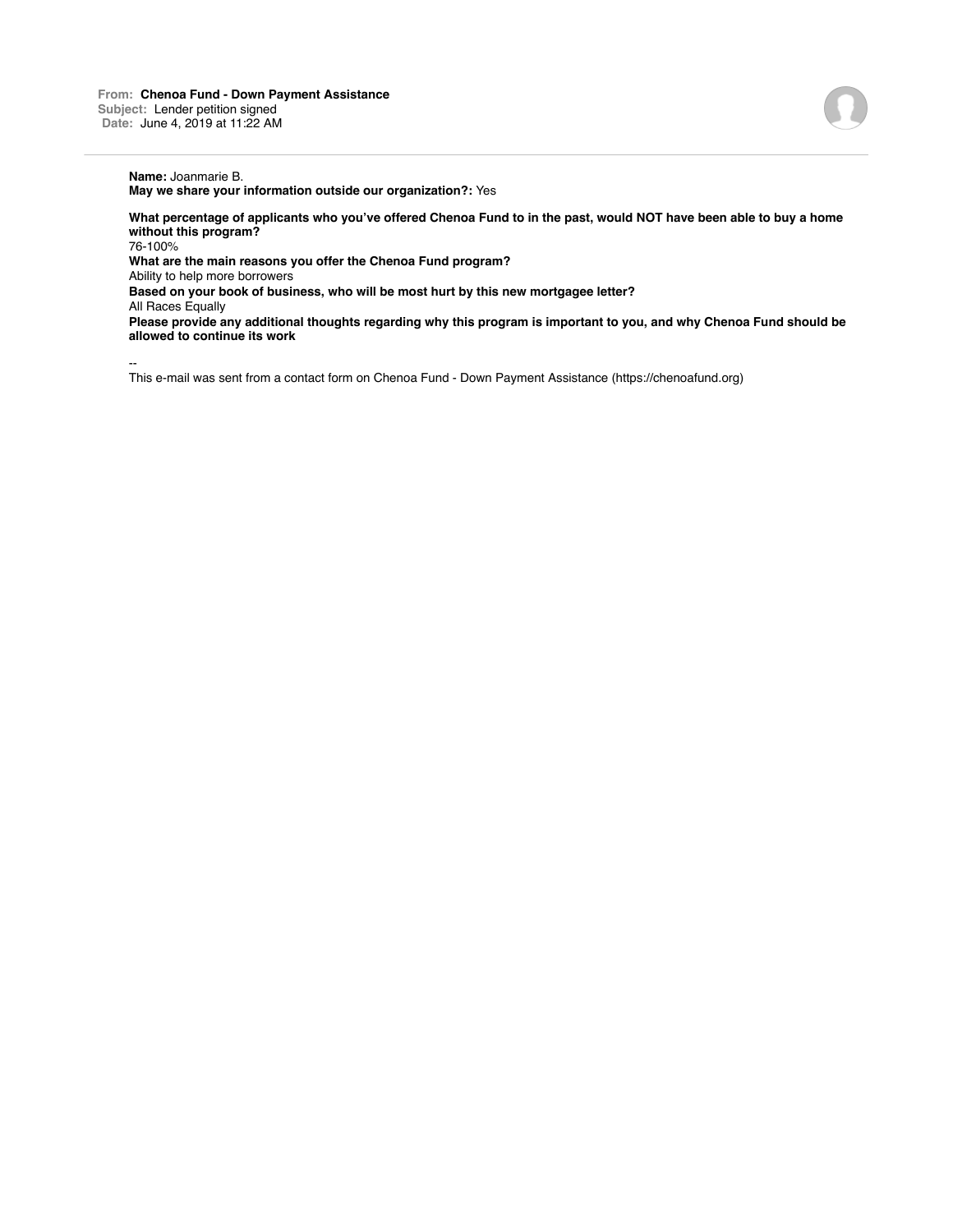## **Name:** Joanmarie B.

**May we share your information outside our organization?:** Yes

**What percentage of applicants who you've offered Chenoa Fund to in the past, would NOT have been able to buy a home without this program?**

76-100%

**What are the main reasons you offer the Chenoa Fund program?**

Ability to help more borrowers

**Based on your book of business, who will be most hurt by this new mortgagee letter?**

All Races Equally

**Please provide any additional thoughts regarding why this program is important to you, and why Chenoa Fund should be allowed to continue its work**

--

This e-mail was sent from a contact form on Chenoa Fund - Down Payment Assistance (https://chenoafund.org)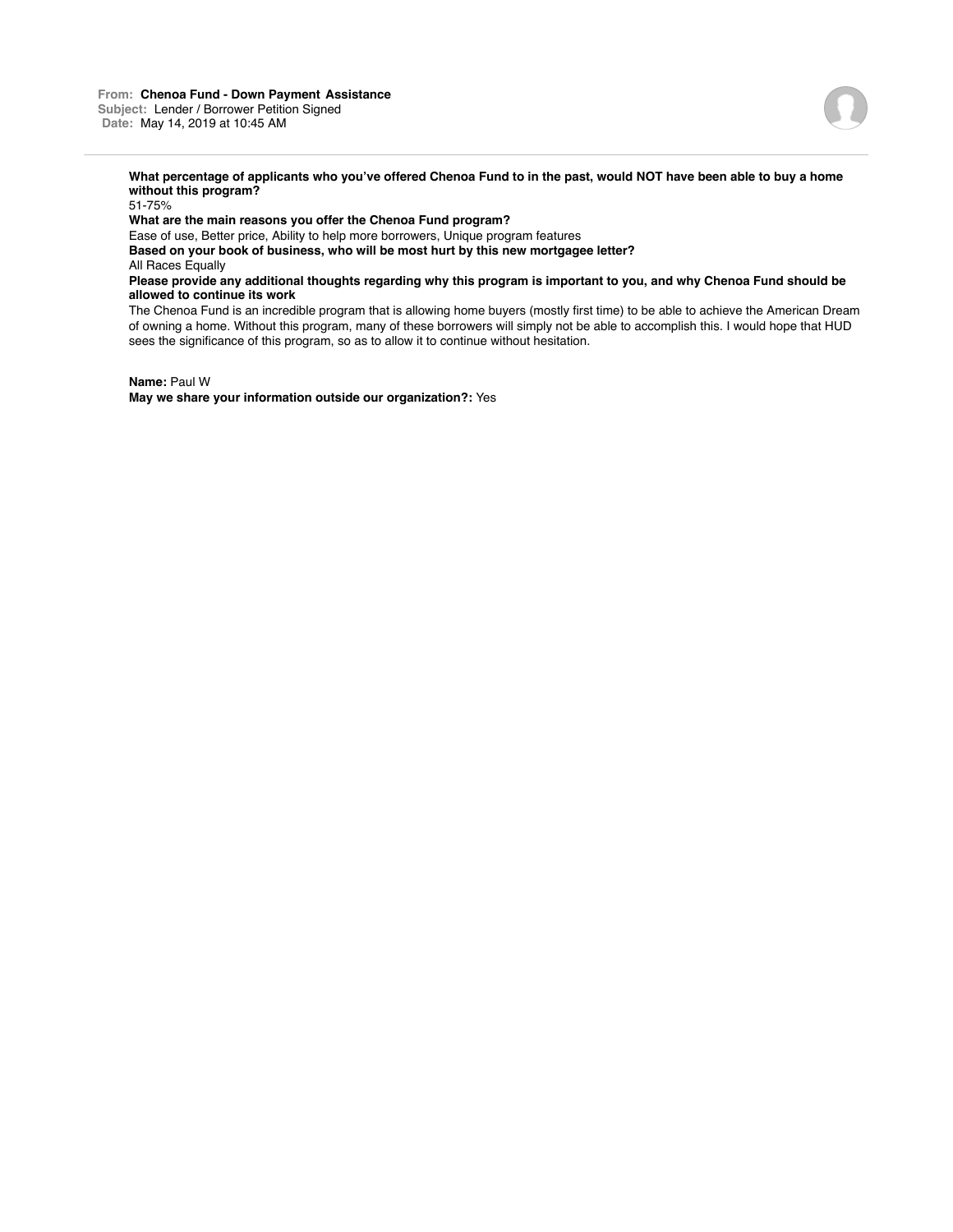

**What percentage of applicants who you've offered Chenoa Fund to in the past, would NOT have been able to buy a home without this program?**

51-75%

**What are the main reasons you offer the Chenoa Fund program?**

Ease of use, Better price, Ability to help more borrowers, Unique program features

**Based on your book of business, who will be most hurt by this new mortgagee letter?**

All Races Equally

**Please provide any additional thoughts regarding why this program is important to you, and why Chenoa Fund should be allowed to continue its work**

The Chenoa Fund is an incredible program that is allowing home buyers (mostly first time) to be able to achieve the American Dream of owning a home. Without this program, many of these borrowers will simply not be able to accomplish this. I would hope that HUD sees the significance of this program, so as to allow it to continue without hesitation.

**Name:** Paul W **May we share your information outside our organization?:** Yes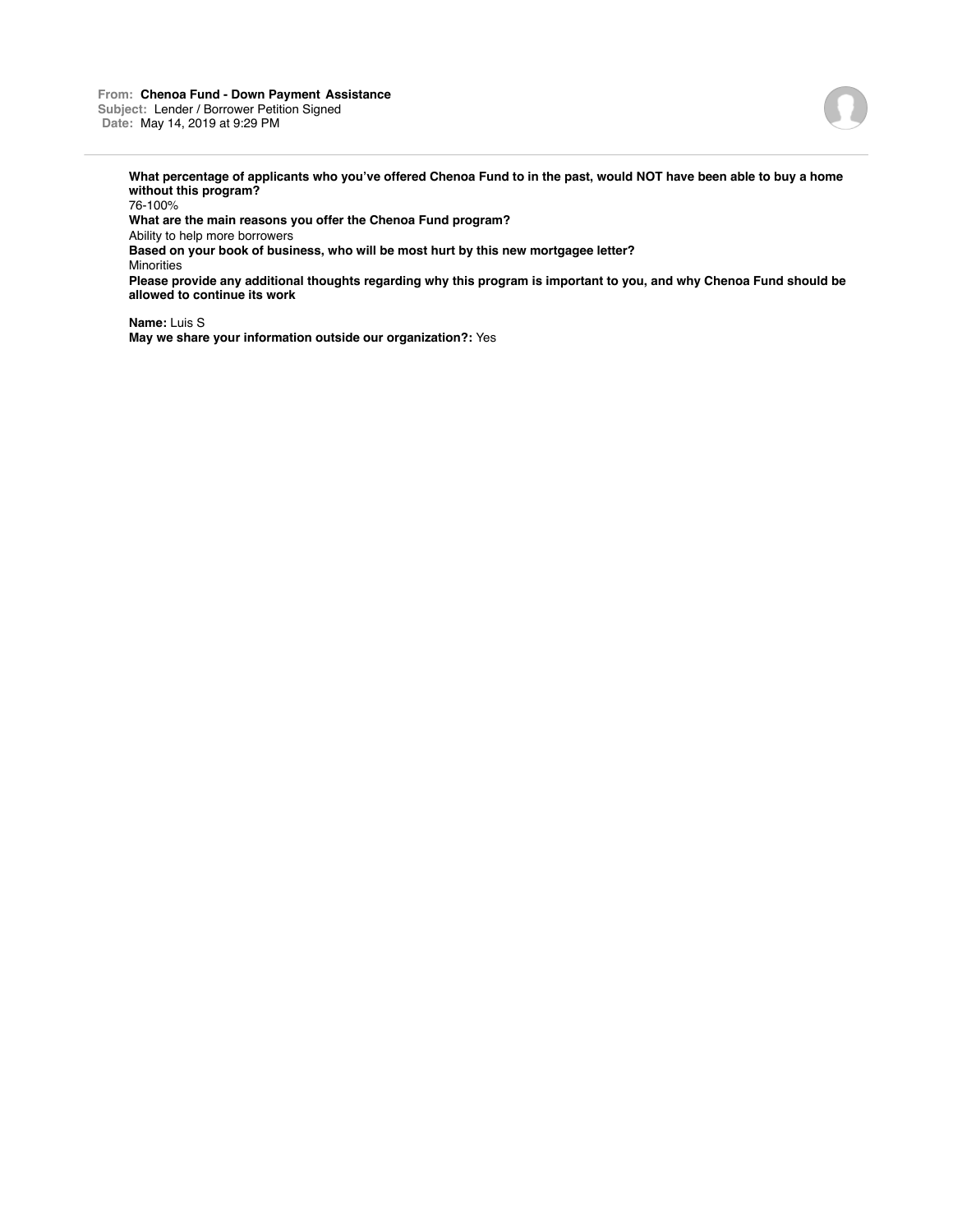

**What percentage of applicants who you've offered Chenoa Fund to in the past, would NOT have been able to buy a home without this program?**

76-100% **What are the main reasons you offer the Chenoa Fund program?** Ability to help more borrowers **Based on your book of business, who will be most hurt by this new mortgagee letter?** Minorities **Please provide any additional thoughts regarding why this program is important to you, and why Chenoa Fund should be allowed to continue its work**

**Name:** Luis S **May we share your information outside our organization?:** Yes